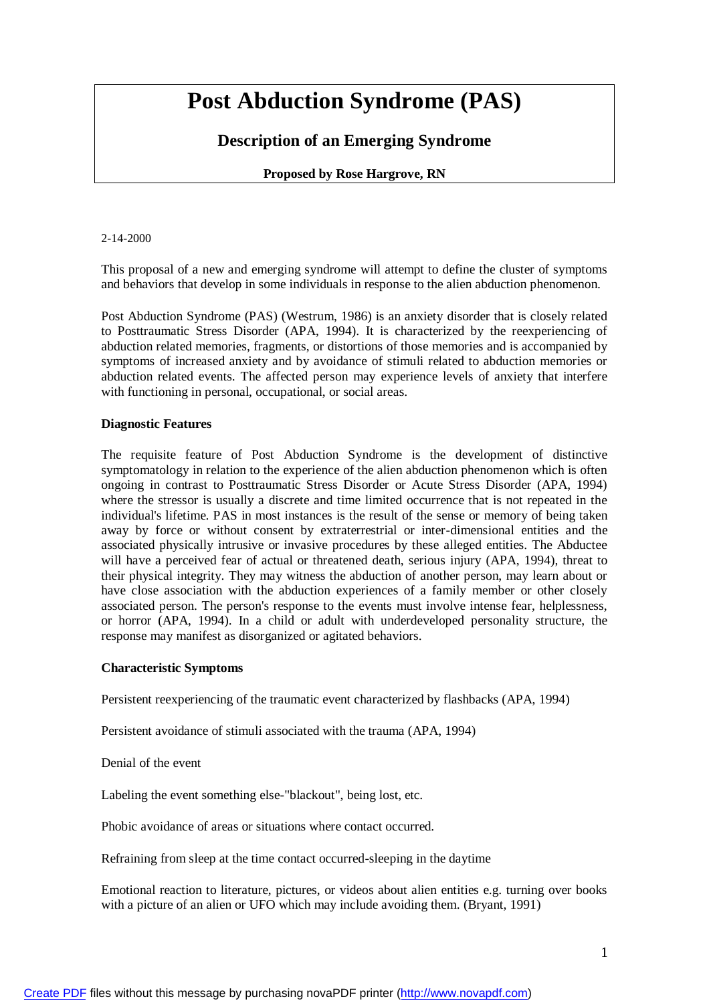# **Post Abduction Syndrome (PAS)**

## **Description of an Emerging Syndrome**

### **Proposed by Rose Hargrove, RN**

#### 2-14-2000

This proposal of a new and emerging syndrome will attempt to define the cluster of symptoms and behaviors that develop in some individuals in response to the alien abduction phenomenon.

Post Abduction Syndrome (PAS) (Westrum, 1986) is an anxiety disorder that is closely related to Posttraumatic Stress Disorder (APA, 1994). It is characterized by the reexperiencing of abduction related memories, fragments, or distortions of those memories and is accompanied by symptoms of increased anxiety and by avoidance of stimuli related to abduction memories or abduction related events. The affected person may experience levels of anxiety that interfere with functioning in personal, occupational, or social areas.

#### **Diagnostic Features**

The requisite feature of Post Abduction Syndrome is the development of distinctive symptomatology in relation to the experience of the alien abduction phenomenon which is often ongoing in contrast to Posttraumatic Stress Disorder or Acute Stress Disorder (APA, 1994) where the stressor is usually a discrete and time limited occurrence that is not repeated in the individual's lifetime. PAS in most instances is the result of the sense or memory of being taken away by force or without consent by extraterrestrial or inter-dimensional entities and the associated physically intrusive or invasive procedures by these alleged entities. The Abductee will have a perceived fear of actual or threatened death, serious injury (APA, 1994), threat to their physical integrity. They may witness the abduction of another person, may learn about or have close association with the abduction experiences of a family member or other closely associated person. The person's response to the events must involve intense fear, helplessness, or horror (APA, 1994). In a child or adult with underdeveloped personality structure, the response may manifest as disorganized or agitated behaviors.

#### **Characteristic Symptoms**

Persistent reexperiencing of the traumatic event characterized by flashbacks (APA, 1994)

Persistent avoidance of stimuli associated with the trauma (APA, 1994)

Denial of the event

Labeling the event something else-"blackout", being lost, etc.

Phobic avoidance of areas or situations where contact occurred.

Refraining from sleep at the time contact occurred-sleeping in the daytime

Emotional reaction to literature, pictures, or videos about alien entities e.g. turning over books with a picture of an alien or UFO which may include avoiding them. (Bryant, 1991)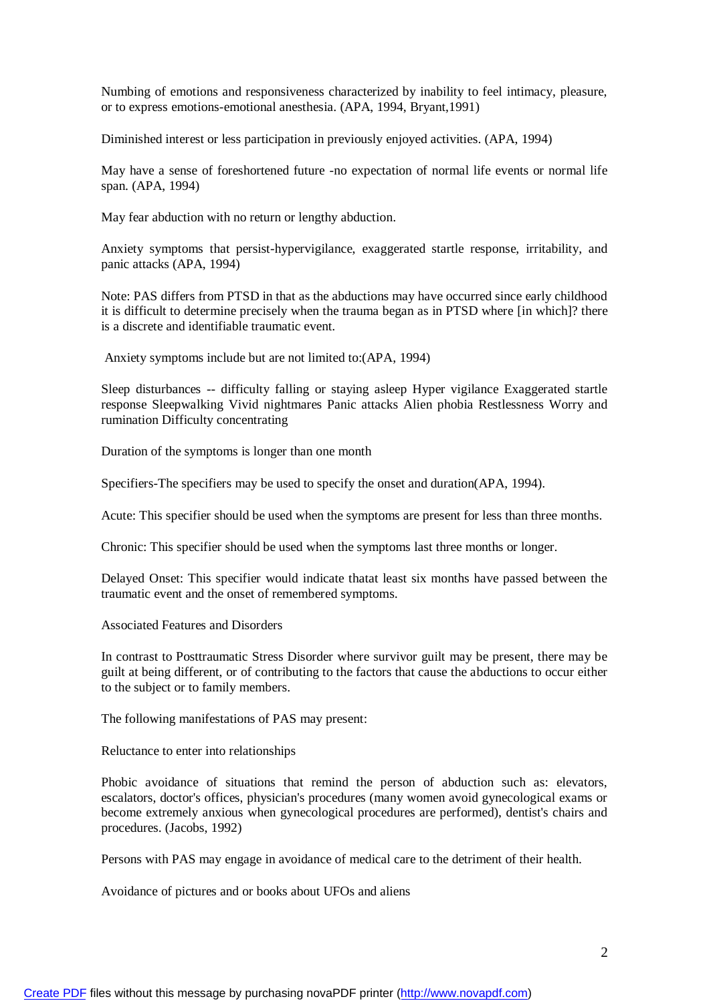Numbing of emotions and responsiveness characterized by inability to feel intimacy, pleasure, or to express emotions-emotional anesthesia. (APA, 1994, Bryant,1991)

Diminished interest or less participation in previously enjoyed activities. (APA, 1994)

May have a sense of foreshortened future -no expectation of normal life events or normal life span. (APA, 1994)

May fear abduction with no return or lengthy abduction.

Anxiety symptoms that persist-hypervigilance, exaggerated startle response, irritability, and panic attacks (APA, 1994)

Note: PAS differs from PTSD in that as the abductions may have occurred since early childhood it is difficult to determine precisely when the trauma began as in PTSD where [in which]? there is a discrete and identifiable traumatic event.

Anxiety symptoms include but are not limited to:(APA, 1994)

Sleep disturbances -- difficulty falling or staying asleep Hyper vigilance Exaggerated startle response Sleepwalking Vivid nightmares Panic attacks Alien phobia Restlessness Worry and rumination Difficulty concentrating

Duration of the symptoms is longer than one month

Specifiers-The specifiers may be used to specify the onset and duration(APA, 1994).

Acute: This specifier should be used when the symptoms are present for less than three months.

Chronic: This specifier should be used when the symptoms last three months or longer.

Delayed Onset: This specifier would indicate thatat least six months have passed between the traumatic event and the onset of remembered symptoms.

Associated Features and Disorders

In contrast to Posttraumatic Stress Disorder where survivor guilt may be present, there may be guilt at being different, or of contributing to the factors that cause the abductions to occur either to the subject or to family members.

The following manifestations of PAS may present:

Reluctance to enter into relationships

Phobic avoidance of situations that remind the person of abduction such as: elevators, escalators, doctor's offices, physician's procedures (many women avoid gynecological exams or become extremely anxious when gynecological procedures are performed), dentist's chairs and procedures. (Jacobs, 1992)

Persons with PAS may engage in avoidance of medical care to the detriment of their health.

Avoidance of pictures and or books about UFOs and aliens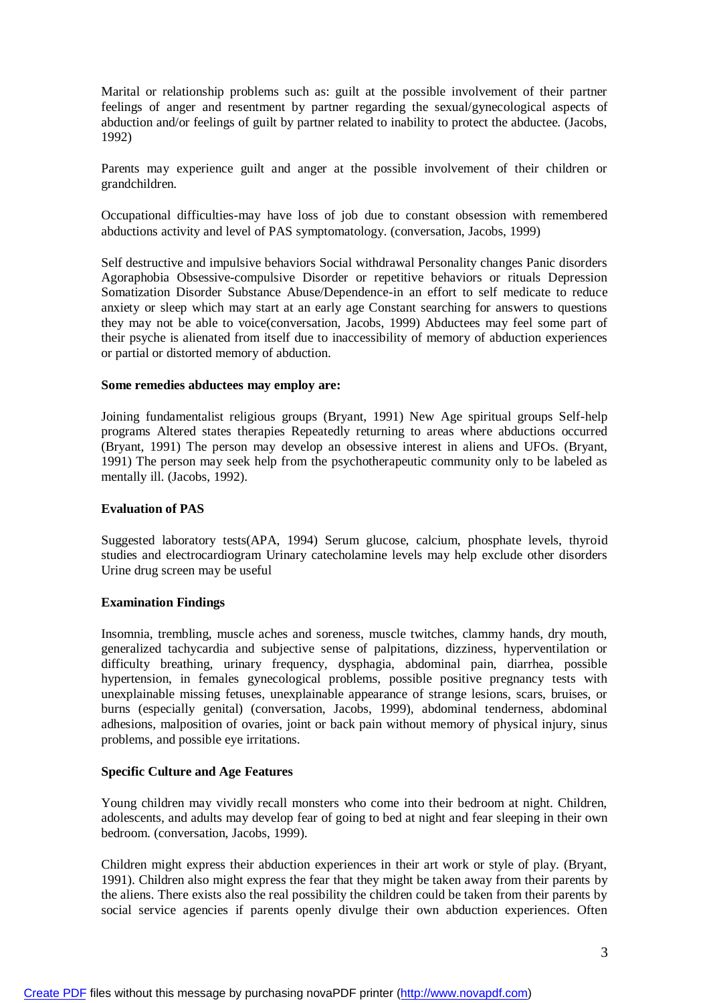Marital or relationship problems such as: guilt at the possible involvement of their partner feelings of anger and resentment by partner regarding the sexual/gynecological aspects of abduction and/or feelings of guilt by partner related to inability to protect the abductee. (Jacobs, 1992)

Parents may experience guilt and anger at the possible involvement of their children or grandchildren.

Occupational difficulties-may have loss of job due to constant obsession with remembered abductions activity and level of PAS symptomatology. (conversation, Jacobs, 1999)

Self destructive and impulsive behaviors Social withdrawal Personality changes Panic disorders Agoraphobia Obsessive-compulsive Disorder or repetitive behaviors or rituals Depression Somatization Disorder Substance Abuse/Dependence-in an effort to self medicate to reduce anxiety or sleep which may start at an early age Constant searching for answers to questions they may not be able to voice(conversation, Jacobs, 1999) Abductees may feel some part of their psyche is alienated from itself due to inaccessibility of memory of abduction experiences or partial or distorted memory of abduction.

#### **Some remedies abductees may employ are:**

Joining fundamentalist religious groups (Bryant, 1991) New Age spiritual groups Self-help programs Altered states therapies Repeatedly returning to areas where abductions occurred (Bryant, 1991) The person may develop an obsessive interest in aliens and UFOs. (Bryant, 1991) The person may seek help from the psychotherapeutic community only to be labeled as mentally ill. (Jacobs, 1992).

#### **Evaluation of PAS**

Suggested laboratory tests(APA, 1994) Serum glucose, calcium, phosphate levels, thyroid studies and electrocardiogram Urinary catecholamine levels may help exclude other disorders Urine drug screen may be useful

#### **Examination Findings**

Insomnia, trembling, muscle aches and soreness, muscle twitches, clammy hands, dry mouth, generalized tachycardia and subjective sense of palpitations, dizziness, hyperventilation or difficulty breathing, urinary frequency, dysphagia, abdominal pain, diarrhea, possible hypertension, in females gynecological problems, possible positive pregnancy tests with unexplainable missing fetuses, unexplainable appearance of strange lesions, scars, bruises, or burns (especially genital) (conversation, Jacobs, 1999), abdominal tenderness, abdominal adhesions, malposition of ovaries, joint or back pain without memory of physical injury, sinus problems, and possible eye irritations.

#### **Specific Culture and Age Features**

Young children may vividly recall monsters who come into their bedroom at night. Children, adolescents, and adults may develop fear of going to bed at night and fear sleeping in their own bedroom. (conversation, Jacobs, 1999).

Children might express their abduction experiences in their art work or style of play. (Bryant, 1991). Children also might express the fear that they might be taken away from their parents by the aliens. There exists also the real possibility the children could be taken from their parents by social service agencies if parents openly divulge their own abduction experiences. Often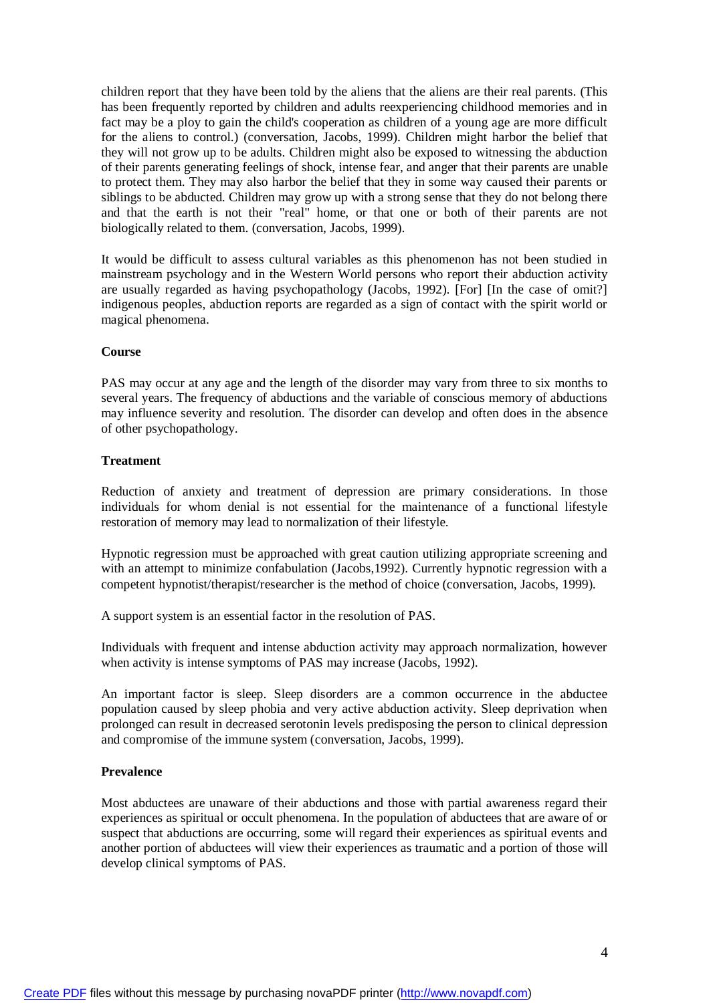children report that they have been told by the aliens that the aliens are their real parents. (This has been frequently reported by children and adults reexperiencing childhood memories and in fact may be a ploy to gain the child's cooperation as children of a young age are more difficult for the aliens to control.) (conversation, Jacobs, 1999). Children might harbor the belief that they will not grow up to be adults. Children might also be exposed to witnessing the abduction of their parents generating feelings of shock, intense fear, and anger that their parents are unable to protect them. They may also harbor the belief that they in some way caused their parents or siblings to be abducted. Children may grow up with a strong sense that they do not belong there and that the earth is not their "real" home, or that one or both of their parents are not biologically related to them. (conversation, Jacobs, 1999).

It would be difficult to assess cultural variables as this phenomenon has not been studied in mainstream psychology and in the Western World persons who report their abduction activity are usually regarded as having psychopathology (Jacobs, 1992). [For] [In the case of omit?] indigenous peoples, abduction reports are regarded as a sign of contact with the spirit world or magical phenomena.

#### **Course**

PAS may occur at any age and the length of the disorder may vary from three to six months to several years. The frequency of abductions and the variable of conscious memory of abductions may influence severity and resolution. The disorder can develop and often does in the absence of other psychopathology.

#### **Treatment**

Reduction of anxiety and treatment of depression are primary considerations. In those individuals for whom denial is not essential for the maintenance of a functional lifestyle restoration of memory may lead to normalization of their lifestyle.

Hypnotic regression must be approached with great caution utilizing appropriate screening and with an attempt to minimize confabulation (Jacobs,1992). Currently hypnotic regression with a competent hypnotist/therapist/researcher is the method of choice (conversation, Jacobs, 1999).

A support system is an essential factor in the resolution of PAS.

Individuals with frequent and intense abduction activity may approach normalization, however when activity is intense symptoms of PAS may increase (Jacobs, 1992).

An important factor is sleep. Sleep disorders are a common occurrence in the abductee population caused by sleep phobia and very active abduction activity. Sleep deprivation when prolonged can result in decreased serotonin levels predisposing the person to clinical depression and compromise of the immune system (conversation, Jacobs, 1999).

#### **Prevalence**

Most abductees are unaware of their abductions and those with partial awareness regard their experiences as spiritual or occult phenomena. In the population of abductees that are aware of or suspect that abductions are occurring, some will regard their experiences as spiritual events and another portion of abductees will view their experiences as traumatic and a portion of those will develop clinical symptoms of PAS.